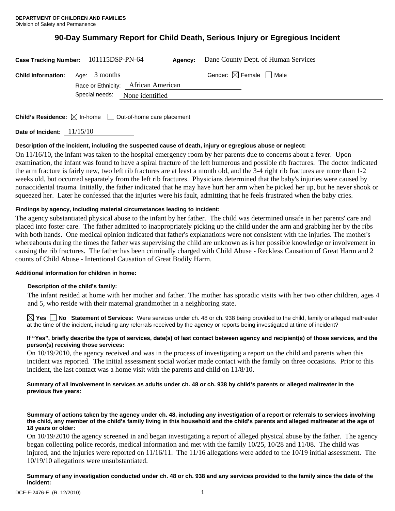# **90-Day Summary Report for Child Death, Serious Injury or Egregious Incident**

|                                           | Case Tracking Number: 101115DSP-PN-64                                 | <b>Agency:</b> Dane County Dept. of Human Services |
|-------------------------------------------|-----------------------------------------------------------------------|----------------------------------------------------|
| <b>Child Information:</b> Age: $3$ months |                                                                       | Gender: $\boxtimes$ Female $\Box$ Male             |
|                                           | Race or Ethnicity: African American<br>Special needs: None identified |                                                    |
|                                           |                                                                       |                                                    |

**Child's Residence:**  $\boxtimes$  In-home  $\Box$  Out-of-home care placement

**Date of Incident:** 11/15/10

# **Description of the incident, including the suspected cause of death, injury or egregious abuse or neglect:**

On 11/16/10, the infant was taken to the hospital emergency room by her parents due to concerns about a fever. Upon examination, the infant was found to have a spiral fracture of the left humerous and possible rib fractures. The doctor indicated the arm fracture is fairly new, two left rib fractures are at least a month old, and the 3-4 right rib fractures are more than 1-2 weeks old, but occurred separately from the left rib fractures. Physicians determined that the baby's injuries were caused by nonaccidental trauma. Initially, the father indicated that he may have hurt her arm when he picked her up, but he never shook or squeezed her. Later he confessed that the injuries were his fault, admitting that he feels frustrated when the baby cries.

# **Findings by agency, including material circumstances leading to incident:**

The agency substantiated physical abuse to the infant by her father. The child was determined unsafe in her parents' care and placed into foster care. The father admitted to inappropriately picking up the child under the arm and grabbing her by the ribs with both hands. One medical opinion indicated that father's explanations were not consistent with the injuries. The mother's whereabouts during the times the father was supervising the child are unknown as is her possible knowledge or involvement in causing the rib fractures. The father has been criminally charged with Child Abuse - Reckless Causation of Great Harm and 2 counts of Child Abuse - Intentional Causation of Great Bodily Harm.

# **Additional information for children in home:**

# **Description of the child's family:**

 The infant resided at home with her mother and father. The mother has sporadic visits with her two other children, ages 4 and 5, who reside with their maternal grandmother in a neighboring state.

**Yes No Statement of Services:** Were services under ch. 48 or ch. 938 being provided to the child, family or alleged maltreater at the time of the incident, including any referrals received by the agency or reports being investigated at time of incident?

#### **If "Yes", briefly describe the type of services, date(s) of last contact between agency and recipient(s) of those services, and the person(s) receiving those services:**

On 10/19/2010, the agency received and was in the process of investigating a report on the child and parents when this incident was reported. The initial assessment social worker made contact with the family on three occasions. Prior to this incident, the last contact was a home visit with the parents and child on 11/8/10.

# **Summary of all involvement in services as adults under ch. 48 or ch. 938 by child's parents or alleged maltreater in the previous five years:**

**Summary of actions taken by the agency under ch. 48, including any investigation of a report or referrals to services involving the child, any member of the child's family living in this household and the child's parents and alleged maltreater at the age of 18 years or older:** 

On 10/19/2010 the agency screened in and began investigating a report of alleged physical abuse by the father. The agency began collecting police records, medical information and met with the family 10/25, 10/28 and 11/08. The child was injured, and the injuries were reported on 11/16/11. The 11/16 allegations were added to the 10/19 initial assessment. The 10/19/10 allegations were unsubstantiated.

**Summary of any investigation conducted under ch. 48 or ch. 938 and any services provided to the family since the date of the incident:**